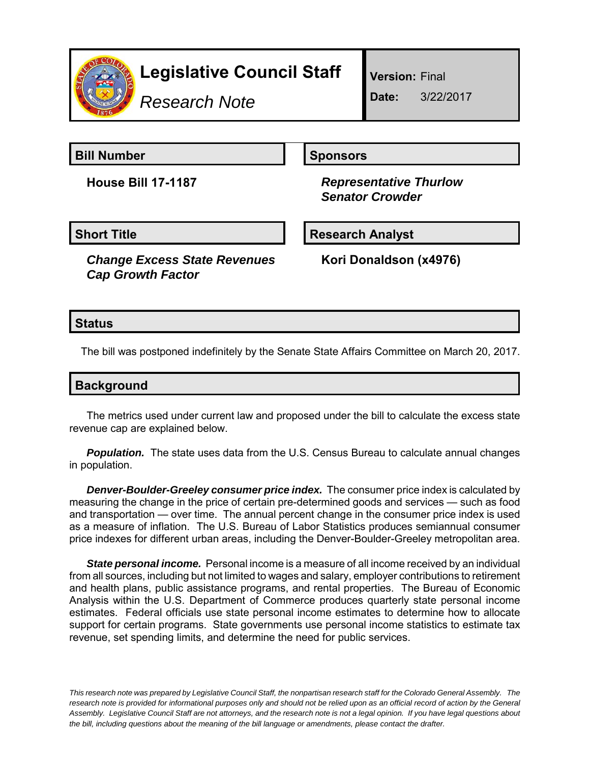

# **Legislative Council Staff**

*Research Note*

**Version:** Final

**Date:** 3/22/2017

**Bill Number Sponsors** 

**House Bill 17-1187** *Representative Thurlow Senator Crowder*

*Change Excess State Revenues Cap Growth Factor*

Short Title **Research Analyst** 

**Kori Donaldson (x4976)**

## **Status**

The bill was postponed indefinitely by the Senate State Affairs Committee on March 20, 2017.

| <b>Background</b> |  |
|-------------------|--|
|                   |  |

The metrics used under current law and proposed under the bill to calculate the excess state revenue cap are explained below.

**Population.** The state uses data from the U.S. Census Bureau to calculate annual changes in population.

*Denver-Boulder-Greeley consumer price index.* The consumer price index is calculated by measuring the change in the price of certain pre-determined goods and services — such as food and transportation — over time. The annual percent change in the consumer price index is used as a measure of inflation. The U.S. Bureau of Labor Statistics produces semiannual consumer price indexes for different urban areas, including the Denver-Boulder-Greeley metropolitan area.

*State personal income.* Personal income is a measure of all income received by an individual from all sources, including but not limited to wages and salary, employer contributions to retirement and health plans, public assistance programs, and rental properties. The Bureau of Economic Analysis within the U.S. Department of Commerce produces quarterly state personal income estimates. Federal officials use state personal income estimates to determine how to allocate support for certain programs. State governments use personal income statistics to estimate tax revenue, set spending limits, and determine the need for public services.

*This research note was prepared by Legislative Council Staff, the nonpartisan research staff for the Colorado General Assembly. The research note is provided for informational purposes only and should not be relied upon as an official record of action by the General Assembly. Legislative Council Staff are not attorneys, and the research note is not a legal opinion. If you have legal questions about the bill, including questions about the meaning of the bill language or amendments, please contact the drafter.*